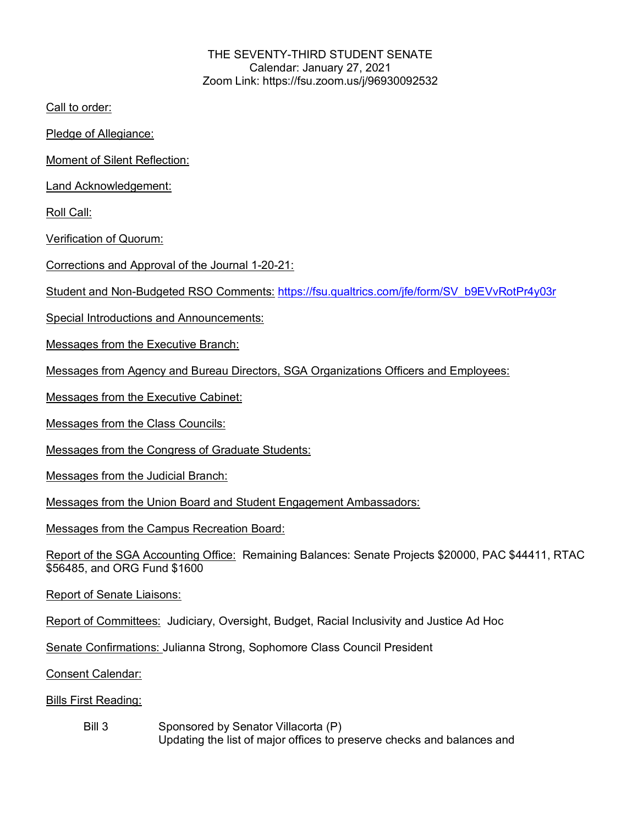# THE SEVENTY-THIRD STUDENT SENATE Calendar: January 27, 2021 Zoom Link: https://fsu.zoom.us/j/96930092532

Call to order:

Pledge of Allegiance:

Moment of Silent Reflection:

Land Acknowledgement:

Roll Call:

Verification of Quorum:

Corrections and Approval of the Journal 1-20-21:

Student and Non-Budgeted RSO Comments: https://fsu.qualtrics.com/jfe/form/SV\_b9EVvRotPr4y03r

Special Introductions and Announcements:

Messages from the Executive Branch:

Messages from Agency and Bureau Directors, SGA Organizations Officers and Employees:

Messages from the Executive Cabinet:

Messages from the Class Councils:

Messages from the Congress of Graduate Students:

Messages from the Judicial Branch:

Messages from the Union Board and Student Engagement Ambassadors:

Messages from the Campus Recreation Board:

Report of the SGA Accounting Office: Remaining Balances: Senate Projects \$20000, PAC \$44411, RTAC \$56485, and ORG Fund \$1600

Report of Senate Liaisons:

Report of Committees: Judiciary, Oversight, Budget, Racial Inclusivity and Justice Ad Hoc

Senate Confirmations: Julianna Strong, Sophomore Class Council President

Consent Calendar:

Bills First Reading:

Bill 3 Sponsored by Senator Villacorta (P) Updating the list of major offices to preserve checks and balances and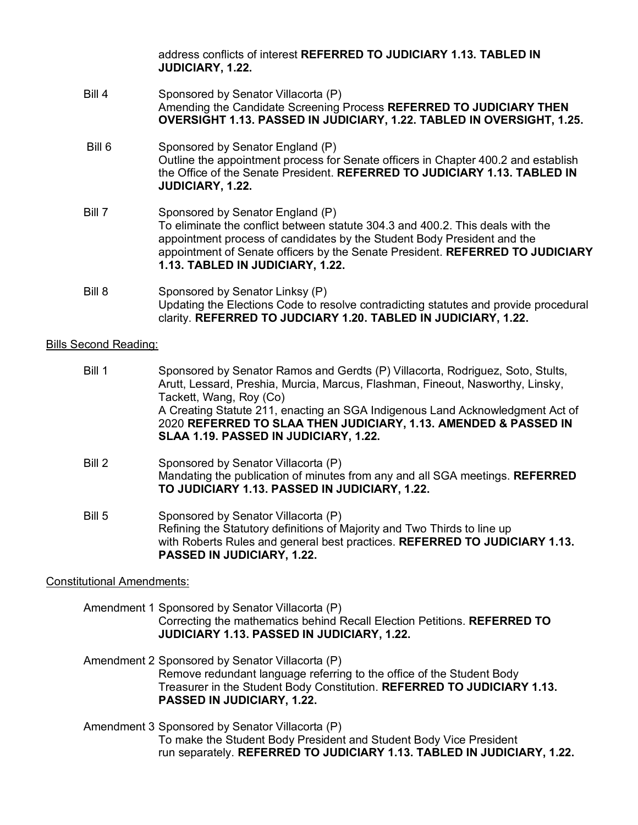address conflicts of interest **REFERRED TO JUDICIARY 1.13. TABLED IN JUDICIARY, 1.22.**

- Bill 4 Sponsored by Senator Villacorta (P) Amending the Candidate Screening Process **REFERRED TO JUDICIARY THEN OVERSIGHT 1.13. PASSED IN JUDICIARY, 1.22. TABLED IN OVERSIGHT, 1.25.**
- Bill 6 Sponsored by Senator England (P) Outline the appointment process for Senate officers in Chapter 400.2 and establish the Office of the Senate President. **REFERRED TO JUDICIARY 1.13. TABLED IN JUDICIARY, 1.22.**
- Bill 7 Sponsored by Senator England (P) To eliminate the conflict between statute 304.3 and 400.2. This deals with the appointment process of candidates by the Student Body President and the appointment of Senate officers by the Senate President. **REFERRED TO JUDICIARY 1.13. TABLED IN JUDICIARY, 1.22.**
- Bill 8 Sponsored by Senator Linksy (P) Updating the Elections Code to resolve contradicting statutes and provide procedural clarity. **REFERRED TO JUDCIARY 1.20. TABLED IN JUDICIARY, 1.22.**

#### Bills Second Reading:

- Bill 1 Sponsored by Senator Ramos and Gerdts (P) Villacorta, Rodriguez, Soto, Stults, Arutt, Lessard, Preshia, Murcia, Marcus, Flashman, Fineout, Nasworthy, Linsky, Tackett, Wang, Roy (Co) A Creating Statute 211, enacting an SGA Indigenous Land Acknowledgment Act of 2020 **REFERRED TO SLAA THEN JUDICIARY, 1.13. AMENDED & PASSED IN SLAA 1.19. PASSED IN JUDICIARY, 1.22.**
- Bill 2 Sponsored by Senator Villacorta (P) Mandating the publication of minutes from any and all SGA meetings. **REFERRED TO JUDICIARY 1.13. PASSED IN JUDICIARY, 1.22.**
- Bill 5 Sponsored by Senator Villacorta (P) Refining the Statutory definitions of Majority and Two Thirds to line up with Roberts Rules and general best practices. **REFERRED TO JUDICIARY 1.13. PASSED IN JUDICIARY, 1.22.**

# Constitutional Amendments:

- Amendment 1 Sponsored by Senator Villacorta (P) Correcting the mathematics behind Recall Election Petitions. **REFERRED TO JUDICIARY 1.13. PASSED IN JUDICIARY, 1.22.**
- Amendment 2 Sponsored by Senator Villacorta (P) Remove redundant language referring to the office of the Student Body Treasurer in the Student Body Constitution. **REFERRED TO JUDICIARY 1.13. PASSED IN JUDICIARY, 1.22.**
- Amendment 3 Sponsored by Senator Villacorta (P) To make the Student Body President and Student Body Vice President run separately. **REFERRED TO JUDICIARY 1.13. TABLED IN JUDICIARY, 1.22.**